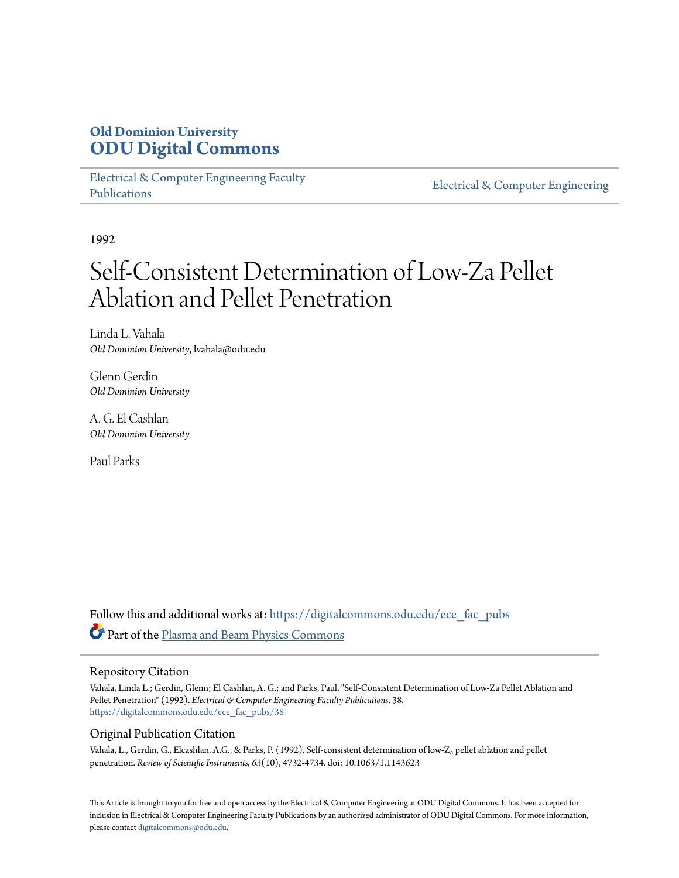# **Old Dominion University [ODU Digital Commons](https://digitalcommons.odu.edu?utm_source=digitalcommons.odu.edu%2Fece_fac_pubs%2F38&utm_medium=PDF&utm_campaign=PDFCoverPages)**

[Electrical & Computer Engineering Faculty](https://digitalcommons.odu.edu/ece_fac_pubs?utm_source=digitalcommons.odu.edu%2Fece_fac_pubs%2F38&utm_medium=PDF&utm_campaign=PDFCoverPages) [Publications](https://digitalcommons.odu.edu/ece_fac_pubs?utm_source=digitalcommons.odu.edu%2Fece_fac_pubs%2F38&utm_medium=PDF&utm_campaign=PDFCoverPages)

[Electrical & Computer Engineering](https://digitalcommons.odu.edu/ece?utm_source=digitalcommons.odu.edu%2Fece_fac_pubs%2F38&utm_medium=PDF&utm_campaign=PDFCoverPages)

1992

# Self-Consistent Determination of Low-Za Pellet Ablation and Pellet Penetration

Linda L. Vahala *Old Dominion University*, lvahala@odu.edu

Glenn Gerdin *Old Dominion University*

A. G. El Cashlan *Old Dominion University*

Paul Parks

Follow this and additional works at: [https://digitalcommons.odu.edu/ece\\_fac\\_pubs](https://digitalcommons.odu.edu/ece_fac_pubs?utm_source=digitalcommons.odu.edu%2Fece_fac_pubs%2F38&utm_medium=PDF&utm_campaign=PDFCoverPages) Part of the [Plasma and Beam Physics Commons](http://network.bepress.com/hgg/discipline/205?utm_source=digitalcommons.odu.edu%2Fece_fac_pubs%2F38&utm_medium=PDF&utm_campaign=PDFCoverPages)

# Repository Citation

Vahala, Linda L.; Gerdin, Glenn; El Cashlan, A. G.; and Parks, Paul, "Self-Consistent Determination of Low-Za Pellet Ablation and Pellet Penetration" (1992). *Electrical & Computer Engineering Faculty Publications*. 38. [https://digitalcommons.odu.edu/ece\\_fac\\_pubs/38](https://digitalcommons.odu.edu/ece_fac_pubs/38?utm_source=digitalcommons.odu.edu%2Fece_fac_pubs%2F38&utm_medium=PDF&utm_campaign=PDFCoverPages)

# Original Publication Citation

Vahala, L., Gerdin, G., Elcashlan, A.G., & Parks, P. (1992). Self-consistent determination of low-Za pellet ablation and pellet penetration. *Review of Scientific Instruments, 63*(10), 4732-4734. doi: 10.1063/1.1143623

This Article is brought to you for free and open access by the Electrical & Computer Engineering at ODU Digital Commons. It has been accepted for inclusion in Electrical & Computer Engineering Faculty Publications by an authorized administrator of ODU Digital Commons. For more information, please contact [digitalcommons@odu.edu](mailto:digitalcommons@odu.edu).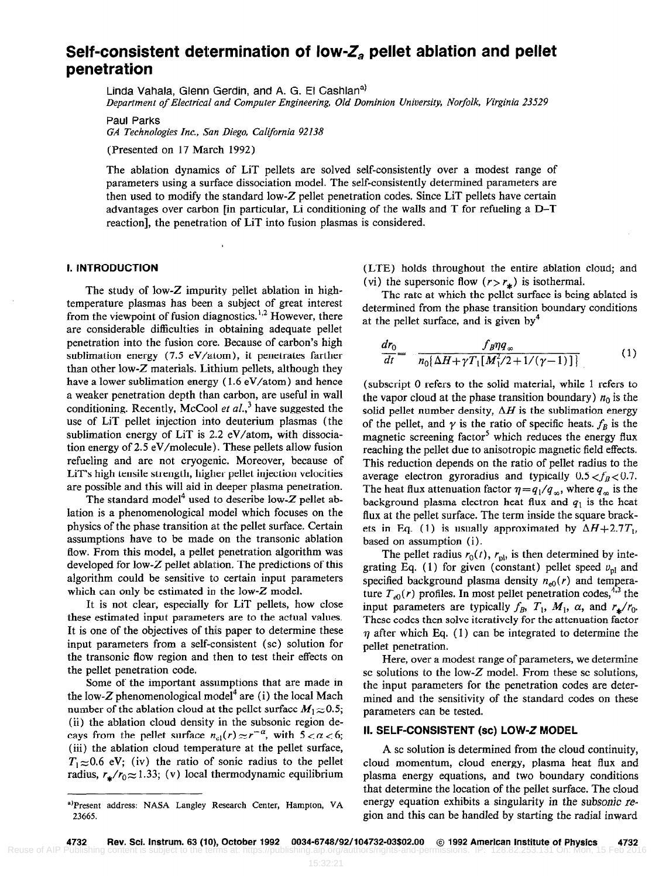# Self-consistent determination of low- $Z_a$  pellet ablation and pellet penetration

Linda Vahala, Glenn Gerdin, and A. G. El Cashlan<sup>a)</sup> Department of Electrical and Computer Engineering, Old Dominion University, Norfolk, Virginia 23529

Paul Parks GA Technologies Inc., San Diego, California 92138

(Presented on 17 March 1992)

The ablation dynamics of LiT pellets are solved self-consistently over a modest range of parameters using a surface dissociation model. The self-consistently determined parameters are then used to modify the standard low-Z pellet penetration codes. Since LiT pellets have certain advantages over carbon [in particular, Li conditioning of the walls and T for refueling a D-T reaction], the penetration of LiT into fusion plasmas is considered.

#### I. INTRODUCTION

The study of low-Z impurity pellet ablation in hightemperature plasmas has been a subject of great interest from the viewpoint of fusion diagnostics.<sup>1,2</sup> However, there are considerable difficulties in obtaining adequate pellet penetration into the fusion core. Because of carbon's high sublimation energy (7.5 eV/atom), it penetrates farther than other low-Z materials. Lithium pellets, although they have a lower sublimation energy ( 1.6 eV/atom) and hence a weaker penetration depth than carbon, are useful in wall conditioning. Recently, McCool et al., have suggested the use of LiT pellet injection into deuterium plasmas (the sublimation energy of LiT is 2.2 eV/atom, with dissociation energy of  $2.5 \text{ eV/molecule}$ . These pellets allow fusion refueling and are not cryogenic. Moreover, because of LiT's high tensile strength, higher pellet injection velocities are possible and this will aid in deeper plasma penetration.

The standard model<sup>4</sup> used to describe low-Z pellet ablation is a phenomenological model which focuses on the physics of the phase transition at the pellet surface. Certain assumptions have to be made on the transonic ablation flow. From this model, a pellet penetration algorithm was developed for low-Z pellet ablation, The predictions of this algorithm could be sensitive to certain input parameters which can only be estimated in the low-Z model.

It is not clear, especially for LiT pellets, how close these estimated input parameters are to the actual values. It is one of the objectives of this paper to determine these input parameters from a self-consistent (sc) solution for the transonic flow region and then to test their effects on the pellet penetration code.

Some of the important assumptions that are made in the low-Z phenomenological model<sup>4</sup> are (i) the local Mach number of the ablation cloud at the pellet surface  $M_1 \approx 0.5$ ; (ii) the ablation cloud density in the subsonic region decays from the pellet surface  $n_{cl}(r) \approx r^{-\alpha}$ , with  $5 < \alpha < 6$ ; (iii) the ablation cloud temperature at the pellet surface,  $T_1 \approx 0.6$  eV; (iv) the ratio of sonic radius to the pellet radius,  $r_{\star}/r_0 \approx 1.33$ ; (v) local thermodynamic equilibrium (LTE) holds throughout the entire ablation cloud; and (vi) the supersonic flow  $(r > r_*)$  is isothermal.

The rate at which the pellet surface is being ablated is determined from the phase transition boundary conditions at the pellet surface, and is given by<sup>4</sup>

$$
\frac{dr_0}{dt} = -\frac{f_B \eta q_{\infty}}{n_0 \left[\Delta H + \gamma T_1 [M_1^2/2 + 1/(\gamma - 1)]\right]}
$$
(1)

(subscript 0 refers to the solid material, while 1 refers to the vapor cloud at the phase transition boundary)  $n_0$  is the solid pellet number density,  $\Delta H$  is the sublimation energy of the pellet, and  $\gamma$  is the ratio of specific heats.  $f_B$  is the magnetic screening factor<sup>5</sup> which reduces the energy flux reaching the pellet due to anisotropic magnetic field effects. This reduction depends on the ratio of pellet radius to the average electron gyroradius and typically  $0.5 < f_B < 0.7$ , The heat flux attenuation factor  $\eta=q_1/q_\infty$ , where  $q_\infty$  is the background plasma electron heat flux and  $q_1$  is the heat flux at the pellet surface. The term inside the square brackets in Eq. (1) is usually approximated by  $\Delta H + 2.7T_1$ , based on assumption (i).

The pellet radius  $r_0(t)$ ,  $r_{\text{pl}}$ , is then determined by integrating Eq. (1) for given (constant) pellet speed  $v_{\text{pl}}$  and specified background plasma density  $n_{e0}(r)$  and temperature  $T_{e0}(r)$  profiles. In most pellet penetration codes,<sup>4,3</sup> the input parameters are typically  $f_B$ ,  $T_1$ ,  $M_1$ ,  $\alpha$ , and  $r_{\star}/r_0$ . These codes then solve iteratively for the attenuation factor  $\eta$  after which Eq. (1) can be integrated to determine the pellet penetration.

Here, over a modest range of parameters, we determine sc solutions to the low- $Z$  model. From these sc solutions, the input parameters for the penetration codes are determined and the sensitivity of the standard codes on these parameters can be tested.

#### II. SELF-CONSISTENT (SC) LOW-Z MODEL

A SC solution is determined from the cloud continuity, cloud momentum, cloud energy, plasma heat flux and plasma energy equations, and two boundary conditions that determine the location of the pellet surface. The cloud energy equation exhibits a singularity in the subsonic region and this can be handled by starting the radial inward

a)Present address: NASA Langley Research Center, Hampton, VA 23665.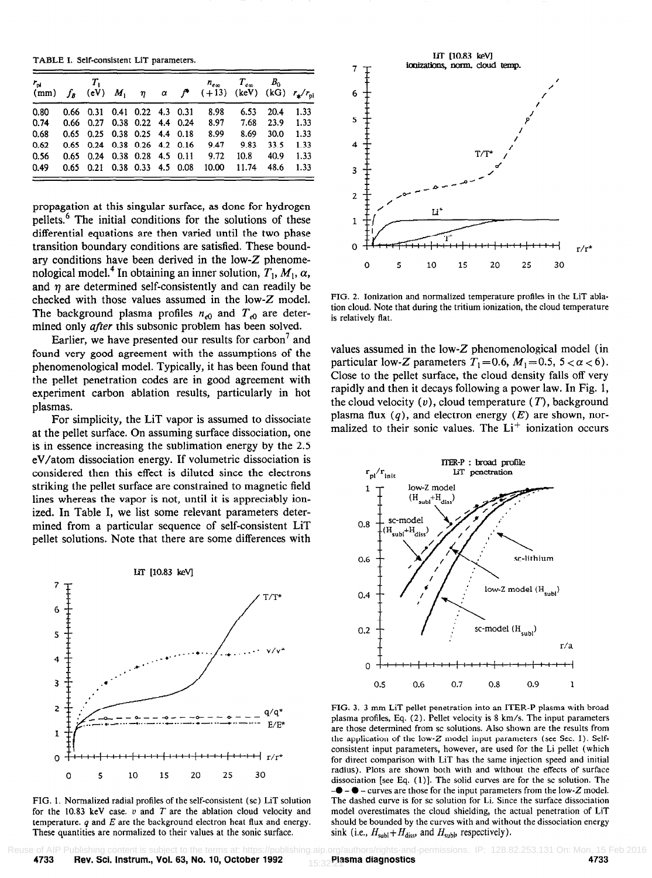| $r_{\rm pl}$ and $T_{\rm l}$ and $T_{\rm l}$ and $T_{\rm l}$ and $T_{\rm l}$ and $T_{\rm l}$ and $T_{\rm l}$ and $T_{\rm l}$ and $T_{\rm l}$ and $T_{\rm l}$ and $T_{\rm l}$ and $T_{\rm l}$ and $T_{\rm l}$ and $T_{\rm l}$ and $T_{\rm l}$ and $T_{\rm l}$ and $T_{\rm l}$ and |                              |  |  | (mm) $f_B$ (eV) $M_1$ $\eta$ $\alpha$ $f^*$ (+13) (keV) (kG) $r_{\star}/r_{\text{ol}}$ | $n_{\text{em}}$ $T_{\text{em}}$ $B_0$ |      |      |
|----------------------------------------------------------------------------------------------------------------------------------------------------------------------------------------------------------------------------------------------------------------------------------|------------------------------|--|--|----------------------------------------------------------------------------------------|---------------------------------------|------|------|
| 0.80                                                                                                                                                                                                                                                                             | 0.66 0.31 0.41 0.22 4.3 0.31 |  |  | 8.98                                                                                   | 6.53                                  | 20.4 | 1.33 |
| 0.74                                                                                                                                                                                                                                                                             | 0.66 0.27 0.38 0.22 4.4 0.24 |  |  |                                                                                        | 8.97 7.68 23.9                        |      | 1.33 |
| 0.68                                                                                                                                                                                                                                                                             | 0.65 0.25 0.38 0.25 4.4 0.18 |  |  | 8.99                                                                                   | 8.69                                  | 30.0 | 1.33 |
| 0.62                                                                                                                                                                                                                                                                             | 0.65 0.24 0.38 0.26 4.2 0.16 |  |  | 9.47                                                                                   | 9.83                                  | 33.5 | 1.33 |
| 0.56                                                                                                                                                                                                                                                                             | 0.65 0.24 0.38 0.28 4.5 0.11 |  |  | 9.72                                                                                   | 10.8                                  | 40.9 | 1.33 |
| 0.49                                                                                                                                                                                                                                                                             | 0.65 0.21 0.38 0.33 4.5 0.08 |  |  | 10.00                                                                                  | 11.74                                 | 48.6 | 1.33 |

propagation at this singular surface, as done for hydrogen pellets.6 The initial conditions for the solutions of these differential equations are then varied until the two phase transition boundary conditions are satisfied. These boundary conditions have been derived in the low-Z phenomenological model.<sup>4</sup> In obtaining an inner solution,  $T_1$ ,  $M_1$ ,  $\alpha$ , and  $\eta$  are determined self-consistently and can readily be checked with those values assumed in the low-Z model. The background plasma profiles  $n_{e0}$  and  $T_{e0}$  are determined only *after* this subsonic problem has been solved.

Earlier, we have presented our results for carbon<sup> $7$ </sup> and found very good agreement with the assumptions of the phenomenological model. Typically, it has been found that the pellet penetration codes are in good agreement with experiment carbon ablation results, particularly in hot plasmas.

For simplicity, the LiT vapor is assumed to dissociate at the pellet surface. On assuming surface dissociation, one is in essence increasing the sublimation energy by the 2.5 eV/atom dissociation energy. If volumetric dissociation is considered then this effect is diluted since the electrons striking the pellet surface are constrained to magnetic field lines whereas the vapor is not, until it is appreciably ionized. In Table I, we list some relevant parameters determined from a particular sequence of self-consistent LiT pellet solutions. Note that there are some differences with



FIG. 1. Normalized radial profiles of the self-consistent (sc) LiT solution for the 10.83 keV case.  $v$  and  $T$  are the ablation cloud velocity and temperature.  $q$  and  $E$  are the background electron heat flux and energy. These quantities are normalized to their values at the sonic surface.



FIG. 2. Ionization and normalized temperature profiles in the LiT ablation cloud. Note that during the tritium ionization, the cloud temperature is relatively flat.

values assumed in the low-Z phenomenological model (in particular low-Z parameters  $T_1 = 0.6$ ,  $M_1 = 0.5$ ,  $5 < \alpha < 6$ ). Close to the pellet surface, the cloud density falls off very rapidly and then it decays following a power law. In Fig. 1, the cloud velocity  $(v)$ , cloud temperature  $(T)$ , background plasma flux  $(q)$ , and electron energy  $(E)$  are shown, normalized to their sonic values. The  $Li<sup>+</sup>$  ionization occurs



FIG. 3. 3 mm LiT pellet penetration into an ITER-P plasma with broad plasma profiles, Eq. (2). Pellet velocity is 8 km/s. The input parameters are those determined from sc solutions. Also shown are the results from the application of the low-Z model input parameters (see Sec. I). Selfconsistent input parameters, however, are used for the Li pellet (which for direct comparison with LiT has the same injection speed and initial radius). Plots are shown both with and without the effects of surface dissociation [see Eq. (1)]. The solid curves are for the sc solution. The  $-\bullet$  –  $\bullet$  – curves are those for the input parameters from the low-Z model. The dashed curve is for sc solution for Li. Since the surface dissociation model overestimates the cloud shielding, the actual penetration of LIT should be bounded by the curves with and without the dissociation energy sink (i.e.,  $H_{sub} + H_{diss}$ , and  $H_{sub}$ , respectively).